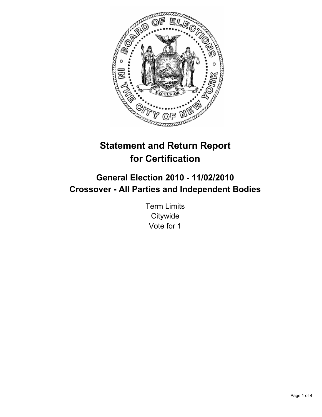

# **Statement and Return Report for Certification**

## **General Election 2010 - 11/02/2010 Crossover - All Parties and Independent Bodies**

Term Limits **Citywide** Vote for 1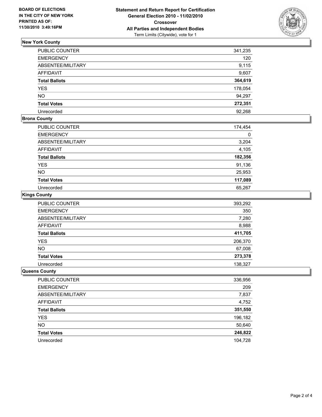

## **New York County**

| PUBLIC COUNTER       | 341,235 |
|----------------------|---------|
| <b>EMERGENCY</b>     | 120     |
| ABSENTEE/MILITARY    | 9,115   |
| <b>AFFIDAVIT</b>     | 9,607   |
| <b>Total Ballots</b> | 364,619 |
| <b>YES</b>           | 178,054 |
| <b>NO</b>            | 94,297  |
| <b>Total Votes</b>   | 272,351 |
| Unrecorded           | 92.268  |

## **Bronx County**

| PUBLIC COUNTER       | 174,454 |
|----------------------|---------|
| <b>EMERGENCY</b>     | 0       |
| ABSENTEE/MILITARY    | 3,204   |
| <b>AFFIDAVIT</b>     | 4,105   |
| <b>Total Ballots</b> | 182,356 |
| <b>YES</b>           | 91,136  |
| <b>NO</b>            | 25,953  |
| <b>Total Votes</b>   | 117,089 |
| Unrecorded           | 65.267  |

#### **Kings County**

| PUBLIC COUNTER       | 393,292 |
|----------------------|---------|
| <b>EMERGENCY</b>     | 350     |
| ABSENTEE/MILITARY    | 7,280   |
| <b>AFFIDAVIT</b>     | 8,988   |
| <b>Total Ballots</b> | 411,705 |
| <b>YES</b>           | 206,370 |
| <b>NO</b>            | 67,008  |
| <b>Total Votes</b>   | 273,378 |
| Unrecorded           | 138,327 |

#### **Queens County**

| PUBLIC COUNTER       | 336,956 |
|----------------------|---------|
| <b>EMERGENCY</b>     | 209     |
| ABSENTEE/MILITARY    | 7,837   |
| AFFIDAVIT            | 4,752   |
| <b>Total Ballots</b> | 351,550 |
| <b>YES</b>           | 196,182 |
| <b>NO</b>            | 50,640  |
| <b>Total Votes</b>   | 246,822 |
| Unrecorded           | 104.728 |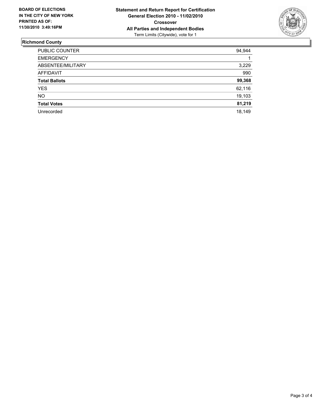

## **Richmond County**

| PUBLIC COUNTER       | 94,944 |
|----------------------|--------|
| <b>EMERGENCY</b>     |        |
| ABSENTEE/MILITARY    | 3,229  |
| AFFIDAVIT            | 990    |
| <b>Total Ballots</b> | 99,368 |
| <b>YES</b>           | 62,116 |
| <b>NO</b>            | 19,103 |
| <b>Total Votes</b>   | 81,219 |
| Unrecorded           | 18.149 |